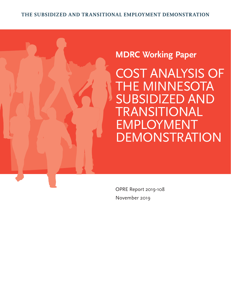# **MDRC Working Paper**

COST ANALYSIS OF THE MINNESOTA SUBSIDIZED AND TRANSITIONAL EMPLOYMENT DEMONSTRATION

OPRE Report 2019-108 November 2019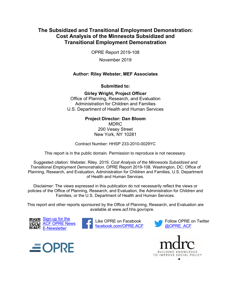### **Cost Analysis of the Minnesota Subsidized and The Subsidized and Transitional Employment Demonstration: Transitional Employment Demonstration**

OPRE Report 2019-108

November 2019

### **Author: Riley Webster, MEF Associates**

**Submitted to:** 

**Girley Wright, Project Officer** Office of Planning, Research, and Evaluation Administration for Children and Families U.S. Department of Health and Human Services

#### **Project Director: Dan Bloom** MDRC

200 Vesey Street New York, NY 10281

Contract Number: HHSP 233-2010-0029YC

This report is in the public domain. Permission to reproduce is not necessary.

 *Transitional Employment Demonstration.* OPRE Report 2019-108. Washington, DC: Office of Suggested citation: Webster, Riley. 2019. *Cost Analysis of the Minnesota Subsidized and*  Planning, Research, and Evaluation, Administration for Children and Families, U.S. Department of Health and Human Services.

 Disclaimer: The views expressed in this publication do not necessarily reflect the views or policies of the Office of Planning, Research, and Evaluation, the Administration for Children and Families, or the U.S. Department of Health and Human Services.

This report and other reports sponsored by the Office of Planning, Research, and Evaluation are available at www.acf.hhs.gov/opre.



Like OPRE on Facebook [facebook.com/OPRE.ACF](https://www.facebook.com/OPRE.ACF) 





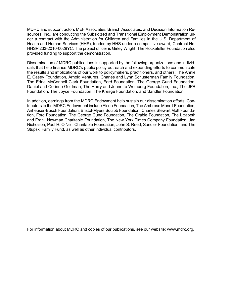Health and Human Services (HHS), funded by HHS under a competitive award, Contract No. MDRC and subcontractors MEF Associates, Branch Associates, and Decision Information Resources, Inc., are conducting the Subsidized and Transitional Employment Demonstration under a contract with the Administration for Children and Families in the U.S. Department of HHSP 233-2010-0029YC. The project officer is Girley Wright. The Rockefeller Foundation also provided funding to support the demonstration.

 E. Casey Foundation, Arnold Ventures, Charles and Lynn Schusterman Family Foundation, Daniel and Corinne Goldman, The Harry and Jeanette Weinberg Foundation, Inc., The JPB Dissemination of MDRC publications is supported by the following organizations and individuals that help finance MDRC's public policy outreach and expanding efforts to communicate the results and implications of our work to policymakers, practitioners, and others: The Annie The Edna McConnell Clark Foundation, Ford Foundation, The George Gund Foundation, Foundation, The Joyce Foundation, The Kresge Foundation, and Sandler Foundation.

In addition, earnings from the MDRC Endowment help sustain our dissemination efforts. Contributors to the MDRC Endowment include Alcoa Foundation, The Ambrose Monell Foundation, Anheuser-Busch Foundation, Bristol-Myers Squibb Foundation, Charles Stewart Mott Foundation, Ford Foundation, The George Gund Foundation, The Grable Foundation, The Lizabeth and Frank Newman Charitable Foundation, The New York Times Company Foundation, Jan Nicholson, Paul H. O'Neill Charitable Foundation, John S. Reed, Sandler Foundation, and The Stupski Family Fund, as well as other individual contributors.

For information about MDRC and copies of our publications, see our website: www.mdrc.org.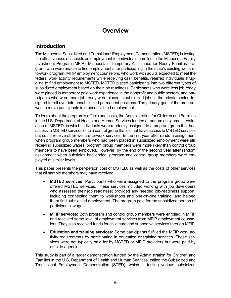# **Overview**

# **Introduction**

 The Minnesota Subsidized and Transitional Employment Demonstration (MSTED) is testing Investment Program (MFIP), Minnesota's Temporary Assistance for Needy Families pro- gling to find employment to MSTED. MSTED placed participants into two different types of the effectiveness of subsidized employment for individuals enrolled in the Minnesota Family gram, who were unable to find employment after participating in the state's existing welfareto-work program. MFIP employment counselors, who work with adults expected to meet the federal work activity requirements while receiving cash benefits, referred individuals strugsubsidized employment based on their job readiness: Participants who were less job ready were placed in temporary paid work experience in the nonprofit and public sectors, and participants who were more job ready were placed in subsidized jobs in the private sector designed to roll over into unsubsidized permanent positions. The primary goal of the program was to move participants into unsubsidized employment.

 in the U.S. Department of Health and Human Services funded a random assignment evalu- access to MSTED services or to a control group that did not have access to MSTED services but could receive other welfare-to-work services. In the first year after random assignment To learn about the program's effects and costs, the Administration for Children and Families ation of MSTED, in which individuals were randomly assigned to a program group that had when program group members who had been placed in subsidized employment were still receiving subsidized wages, program group members were more likely than control group members to have been employed. However, by the end of the second year after random assignment when subsidies had ended, program and control group members were employed at similar levels.

This paper presents the per-person cost of MSTED, as well as the costs of other services that all sample members may have received:

- offered MSTED services. These services included working with job developers who assessed their job readiness; provided any needed job-readiness support, **MSTED services:** Participants who were assigned to the program group were including connecting them to workshops and one-on-one training; and helped them find subsidized employment. The program paid for the subsidized portion of participants' wages.
- and received some level of employment services from MFIP employment counse- lors. They also received funds for child care and supportive services through MFIP. • **MFIP services:** Both program and control group members were enrolled in MFIP
- **Education and training services:** Some participants fulfilled the MFIP work activity requirements by participating in education or training services. These services were not typically paid for by MSTED or MFIP providers but were paid by outside agencies.

 This study is part of a larger demonstration funded by the Administration for Children and Families in the U.S. Department of Health and Human Services, called the Subsidized and Transitional Employment Demonstration (STED), which is testing various subsidized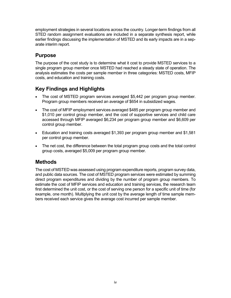STED random assignment evaluations are included in a separate synthesis report, while employment strategies in several locations across the country. Longer-term findings from all earlier findings discussing the implementation of MSTED and its early impacts are in a separate interim report.

# **Purpose**

 The purpose of the cost study is to determine what it cost to provide MSTED services to a single program group member once MSTED had reached a steady state of operation. The analysis estimates the costs per sample member in three categories: MSTED costs, MFIP costs, and education and training costs.

# **Key Findings and Highlights**

- The cost of MSTED program services averaged \$5,442 per program group member. Program group members received an average of \$654 in subsidized wages.
- accessed through MFIP averaged \$6,234 per program group member and \$6,609 per control group member. • The cost of MFIP employment services averaged \$485 per program group member and \$1,010 per control group member, and the cost of supportive services and child care
- Education and training costs averaged \$1,393 per program group member and \$1,581 per control group member.
- The net cost, the difference between the total program group costs and the total control group costs, averaged \$5,009 per program group member.

# **Methods**

 The cost of MSTED was assessed using program expenditure reports, program survey data, direct program expenditures and dividing by the number of program group members. To first determined the unit cost, or the cost of serving one person for a specific unit of time (for and public data sources. The cost of MSTED program services were estimated by summing estimate the cost of MFIP services and education and training services, the research team example, one month). Multiplying the unit cost by the average length of time sample members received each service gives the average cost incurred per sample member.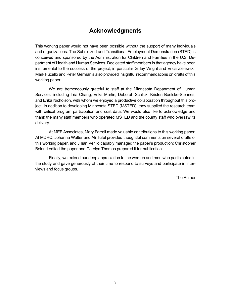# **Acknowledgments**

 partment of Health and Human Services. Dedicated staff members in that agency have been Mark Fucello and Peter Germanis also provided insightful recommendations on drafts of this This working paper would not have been possible without the support of many individuals and organizations. The Subsidized and Transitional Employment Demonstration (STED) is conceived and sponsored by the Administration for Children and Families in the U.S. Deinstrumental to the success of the project, in particular Girley Wright and Erica Zielewski. working paper.

 Services, including Tria Chang, Erika Martin, Deborah Schlick, Kristen Boelcke-Stennes, with critical program participation and cost data. We would also like to acknowledge and We are tremendously grateful to staff at the Minnesota Department of Human and Erika Nicholson, with whom we enjoyed a productive collaboration throughout this project. In addition to developing Minnesota STED (MSTED), they supplied the research team thank the many staff members who operated MSTED and the county staff who oversaw its delivery.

 this working paper, and Jillian Verillo capably managed the paper's production; Christopher At MEF Associates, Mary Farrell made valuable contributions to this working paper. At MDRC, Johanna Walter and Ali Tufel provided thoughtful comments on several drafts of Boland edited the paper and Carolyn Thomas prepared it for publication.

Finally, we extend our deep appreciation to the women and men who participated in the study and gave generously of their time to respond to surveys and participate in interviews and focus groups.

The Author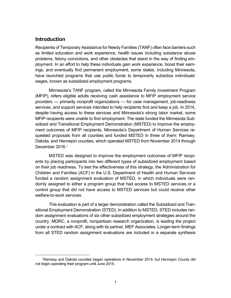### **Introduction**

 ployment. In an effort to help these individuals gain work experience, boost their earn- have launched programs that use public funds to temporarily subsidize individuals' wages, known as subsidized employment programs. Recipients of Temporary Assistance for Needy Families (TANF) often face barriers such as limited education and work experience, health issues including substance abuse problems, felony convictions, and other obstacles that stand in the way of finding emings, and eventually find permanent employment, some states, including Minnesota,

 Minnesota's TANF program, called the Minnesota Family Investment Program (MFIP), refers eligible adults receiving cash assistance to MFIP employment service services, and support services intended to help recipients find and keep a job. In 2014, MFIP recipients were unable to find employment. The state funded the Minnesota Sub- sidized and Transitional Employment Demonstration (MSTED) to improve the employ- ment outcomes of MFIP recipients. Minnesota's Department of Human Services reproviders — primarily nonprofit organizations — for case management, job-readiness despite having access to these services and Minnesota's strong labor market, some quested proposals from all counties and funded MSTED in three of them: Ramsey, Dakota, and Hennepin counties, which operated MSTED from November 2014 through December 2016.<sup>1</sup>

 ents by placing participants into two different types of subsidized employment based Children and Families (ACF) in the U.S. Department of Health and Human Services control group that did not have access to MSTED services but could receive other MSTED was designed to improve the employment outcomes of MFIP recipion their job readiness. To test the effectiveness of this strategy, the Administration for funded a random assignment evaluation of MSTED, in which individuals were randomly assigned to either a program group that had access to MSTED services or a welfare-to-work services.

 This evaluation is part of a larger demonstration called the Subsidized and Tran- dom assignment evaluations of six other subsidized employment strategies around the under a contract with ACF, along with its partner, MEF Associates. Longer-term findings from all STED random assignment evaluations are included in a separate synthesis sitional Employment Demonstration (STED). In addition to MSTED, STED includes rancountry. MDRC, a nonprofit, nonpartisan research organization, is leading the project

<span id="page-6-0"></span> 1Ramsey and Dakota counties began operations in November 2014, but Hennepin County did not begin operating their program until June 2015.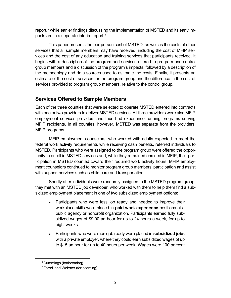report, $\widehat{\ }$  while earlier findings discussing the implementation of MSTED and its early impacts are in a separate interim report.3

 This paper presents the per-person cost of MSTED, as well as the costs of other vices and the cost of any education and training services that participants received. It services that all sample members may have received, including the cost of MFIP serbegins with a description of the program and services offered to program and control group members and a discussion of the program's impacts, followed by a description of the methodology and data sources used to estimate the costs. Finally, it presents an estimate of the cost of services for the program group and the difference in the cost of services provided to program group members, relative to the control group.

# **Services Offered to Sample Members**

 Each of the three counties that were selected to operate MSTED entered into contracts employment services providers and thus had experience running programs serving with one or two providers to deliver MSTED services. All three providers were also MFIP MFIP recipients. In all counties, however, MSTED was separate from the providers' MFIP programs.

 MSTED. Participants who were assigned to the program group were offered the oppor- tunity to enroll in MSTED services and, while they remained enrolled in MFIP, their par- ticipation in MSTED counted toward their required work activity hours. MFIP employ- ment counselors continued to monitor program group members' participation and assist with support services such as child care and transportation. MFIP employment counselors, who worked with adults expected to meet the federal work activity requirements while receiving cash benefits, referred individuals to

 Shortly after individuals were randomly assigned to the MSTED program group, they met with an MSTED job developer, who worked with them to help them find a subsidized employment placement in one of two subsidized employment options:

- workplace skills were placed in **paid work experience** positions at a sidized wages of \$9.00 an hour for up to 24 hours a week, for up to Participants who were less job ready and needed to improve their public agency or nonprofit organization. Participants earned fully subeight weeks.
- to \$15 an hour for up to 40 hours per week. Wages were 100 percent Participants who were more job ready were placed in **subsidized jobs** with a private employer, where they could earn subsidized wages of up

<sup>2</sup>Cummings (forthcoming).

<sup>3</sup>Farrell and Webster (forthcoming).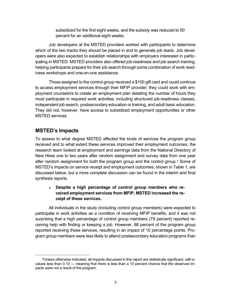percent for an additional eight weeks. subsidized for the first eight weeks, and the subsidy was reduced to 50

 helping participants prepare for their job search through some combination of work read-Job developers at the MSTED providers worked with participants to determine which of the two tracks they should be placed in and to generate job leads. Job developers were also expected to establish relationships with employers interested in participating in MSTED. MSTED providers also offered job-readiness and job search training, iness workshops and one-on-one assistance.

 Those assigned to the control group received a \$100 gift card and could continue independent job search, postsecondary education or training, and adult basic education. to access employment services through their MFIP provider; they could work with employment counselors to create an employment plan detailing the number of hours they must participate in required work activities, including structured job-readiness classes, They did not, however, have access to subsidized employment opportunities or other MSTED services.

# **MSTED's Impacts**

 To assess to what degree MSTED affected the kinds of services the program group received and to what extent these services improved their employment outcomes, the New Hires one to two years after random assignment and survey data from one year after random assignment for both the program group and the control group.<sup>4</sup> Some of discussed below, but a more complete discussion can be found in the interim and final research team looked at employment and earnings data from the National Directory of MSTED's impacts on service receipt and employment outcomes, shown in Table 1, are synthesis reports.

### ● **Despite a high percentage of control group members who received employment services from MFIP, MSTED increased the receipt of these services.**

 participate in work activities as a condition of receiving MFIP benefits, and it was not ceiving help with finding or keeping a job. However, 88 percent of the program group reported receiving these services, resulting in an impact of 10 percentage points. Pro-All individuals in the study (including control group members) were expected to surprising that a high percentage of control group members (78 percent) reported regram group members were less likely to attend postsecondary education programs than

<span id="page-8-0"></span> 4Unless otherwise indicated, all impacts discussed in this report are statistically significant, with p- values less than 0.10 ― meaning that there is less than a 10 percent chance that the observed im-pacts were not a result of the program.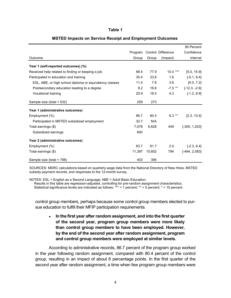#### **Table 1**

|                                                         |         |        |                    | 90 Percent       |
|---------------------------------------------------------|---------|--------|--------------------|------------------|
|                                                         | Program |        | Control Difference | Confidence       |
| Outcome                                                 | Group   | Group  | (Impact)           | Interval         |
| Year 1 (self-reported outcomes) (%)                     |         |        |                    |                  |
| Received help related to finding or keeping a job       | 88.4    | 77.9   | $10.4***$          | [5.0, 15.9]      |
| Participated in education and training                  | 35.4    | 33.8   | 1.6                | $[-5.1, 8.4]$    |
| ESL, ABE, or high school diploma or equivalency classes | 11.4    | 7.8    | 3.6                | [0.0, 7.2]       |
| Postsecondary education leading to a degree             | 9.2     | 16.6   | $-7.5$ **          | $[-12.3, -2.6]$  |
| Vocational training                                     | 20.9    | 16.5   | 4.3                | $[-1.2, 9.9]$    |
| Sample size (total = 532)                               | 259     | 273    |                    |                  |
| Year 1 (administrative outcomes)                        |         |        |                    |                  |
| Employment (%)                                          | 86.7    | 80.4   | $6.3***$           | [2.3, 10.4]      |
| Participated in MSTED subsidized employment             | 32.7    | N/A    |                    |                  |
| Total earnings (\$)                                     | 7,078   | 6,628  | 449                | $[-305, 1, 203]$ |
| Subsidized earnings                                     | 650     |        |                    |                  |
| Year 2 (administrative outcomes)                        |         |        |                    |                  |
| Employment (%)                                          | 83.7    | 81.7   | 2.0                | $[-2.3, 6.4]$    |
| Total earnings (\$)                                     | 11,397  | 10,602 | 794                | $[-494, 2,083]$  |
| Sample size (total = 798)                               | 403     | 395    |                    |                  |

#### **MSTED Impacts on Service Receipt and Employment Outcomes**

 SOURCES: MDRC calculations based on quarterly wage data from the National Directory of New Hires, MSTED subsidy payment records, and responses to the 12-month survey.

NOTES: ESL = English as a Second Language; ABE = Adult Basic Education.

 Statistical significance levels are indicated as follows: \*\*\* = 1 percent; \*\* = 5 percent; \* = 10 percent. Results in this table are regression-adjusted, controlling for pre-random assignment characteristics.

 control group members, perhaps because some control group members elected to pur-sue education to fulfill their MFIP participation requirements.

 ● **In the first year after random assignment, and into the first quarter and control group members were employed at similar levels. of the second year, program group members were more likely than control group members to have been employed. However, by the end of the second year after random assignment, program** 

 According to administrative records, 86.7 percent of the program group worked in the year following random assignment, compared with 80.4 percent of the control group, resulting in an impact of about 6 percentage points. In the first quarter of the second year after random assignment, a time when few program group members were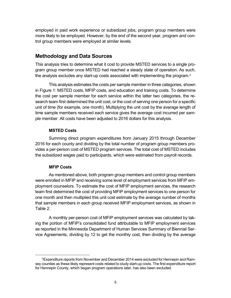trol group members were employed at similar levels. employed in paid work experience or subsidized jobs, program group members were more likely to be employed. However, by the end of the second year, program and con-

### **Methodology and Data Sources**

 gram group member once MSTED had reached a steady state of operation. As such, This analysis tries to determine what it cost to provide MSTED services to a single pro-the analysis excludes any start-up costs associated with implementing the program.<sup>[5](#page-10-0)</sup>

 This analysis estimates the costs per sample member in three categories, shown in Figure 1: MSTED costs, MFIP costs, and education and training costs. To determine the cost per sample member for each service within the latter two categories, the re- search team first determined the unit cost, or the cost of serving one person for a specific unit of time (for example, one month). Multiplying the unit cost by the average length of ple member. All costs have been adjusted to 2016 dollars for this analysis. time sample members received each service gives the average cost incurred per sam-

### **MSTED Costs**

 2016 for each county and dividing by the total number of program group members pro- vides a per-person cost of MSTED program services. The total cost of MSTED includes the subsidized wages paid to participants, which were estimated from payroll records. Summing direct program expenditures from January 2015 through December

### **MFIP Costs**

 one month and then multiplied this unit cost estimate by the average number of months Table 2. As mentioned above, both program group members and control group members were enrolled in MFIP and receiving some level of employment services from MFIP employment counselors. To estimate the cost of MFIP employment services, the research team first determined the cost of providing MFIP employment services to one person for that sample members in each group received MFIP employment services, as shown in

 ing the portion of MFIP's consolidated fund attributable to MFIP employment services as reported in the Minnesota Department of Human Services Summary of Biennial Ser-A monthly per-person cost of MFIP employment services was calculated by takvice Agreements, dividing by 12 to get the monthly cost, then dividing by the average

<span id="page-10-0"></span> $^5$ Expenditure reports from November and December 2014 were excluded for Hennepin and Ramsey counties as these likely represent costs related to study start-up costs. The first expenditure report for Hennepin County, which began program operations later, has also been excluded.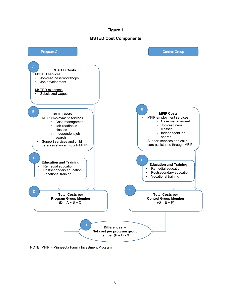#### **Figure 1**

#### **MSTED Cost Components**



NOTE: MFIP = Minnesota Family Investment Program.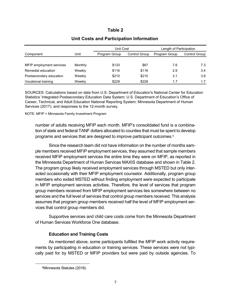### **Table 2**

|                          |         | Unit Cost            |                      | Length of Participation |               |
|--------------------------|---------|----------------------|----------------------|-------------------------|---------------|
| Component                | Unit    | <b>Program Group</b> | <b>Control Group</b> | <b>Program Group</b>    | Control Group |
|                          |         |                      |                      |                         |               |
| MFIP employment services | Monthly | \$133                | \$67                 | 7.6                     | 7.3           |
| Remedial education       | Weekly  | \$116                | \$116                | 2.9                     | 3.4           |
| Postsecondary education  | Weekly  | \$210                | \$210                | 3.1                     | 3.8           |
| Vocational training      | Weekly  | \$228                | \$228                | 1.7                     | 1.7           |

### **Unit Costs and Participation Information**

SOURCES: Calculations based on data from U.S. Department of Education's National Center for Education Statistics' Integrated Postsecondary Education Data System; U.S. Department of Education's Office of Career, Technical, and Adult Education National Reporting System; Minnesota Department of Human Services (2017); and responses to the 12-month survey.

NOTE: MFIP = Minnesota Family Investment Program

 tion of state and federal TANF dollars allocated to counties that must be spent to develop number of adults receiving MFIP each month. MFIP's consolidated fund is a combinaprograms and services that are designed to improve participant outcomes[.6](#page-12-0)

 Since the research team did not have information on the number of months sam- ple members received MFIP employment services, they assumed that sample members the Minnesota Department of Human Services MAXIS database and shown in Table 2. The program group likely received employment services through MSTED but only inter- acted occasionally with their MFIP employment counselor. Additionally, program group members who exited MSTED without finding employment were expected to participate in MFIP employment services activities. Therefore, the level of services that program services and the full level of services that control group members received. This analysis vices that control group members did. received MFIP employment services the entire time they were on MFIP, as reported in group members received from MFIP employment services lies somewhere between no assumes that program group members received half the level of MFIP employment ser-

Supportive services and child care costs come from the Minnesota Department of Human Services Workforce One database.

### **Education and Training Costs**

 As mentioned above, some participants fulfilled the MFIP work activity require- ments by participating in education or training services. These services were not typi-cally paid for by MSTED or MFIP providers but were paid by outside agencies. To

<span id="page-12-0"></span><sup>6</sup>Minnesota Statutes (2018).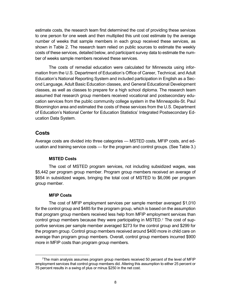to one person for one week and then multiplied this unit cost estimate by the average number of weeks that sample members in each group received these services, as ber of weeks sample members received these services. estimate costs, the research team first determined the cost of providing these services shown in Table 2. The research team relied on public sources to estimate the weekly costs of these services, detailed below, and participant survey data to estimate the num-

 classes, as well as classes to prepare for a high school diploma. The research team The costs of remedial education were calculated for Minnesota using information from the U.S. Department of Education's Office of Career, Technical, and Adult Education's National Reporting System and included participation in English as a Second Language, Adult Basic Education classes, and General Educational Development assumed that research group members received vocational and postsecondary education services from the public community college system in the Minneapolis-St. Paul Bloomington area and estimated the costs of these services from the U.S. Department of Education's National Center for Education Statistics' Integrated Postsecondary Education Data System.

### **Costs**

 ucation and training service costs — for the program and control groups. (See Table 3.) Average costs are divided into three categories — MSTED costs, MFIP costs, and ed-

#### **MSTED Costs**

 The cost of MSTED program services, not including subsidized wages, was \$654 in subsidized wages, bringing the total cost of MSTED to \$6,096 per program \$5,442 per program group member. Program group members received an average of group member.

#### **MFIP Costs**

 for the control group and \$485 for the program group, which is based on the assumption that program group members received less help from MFIP employment services than portive services per sample member averaged \$273 for the control group and \$299 for average than program group members. Overall, control group members incurred \$900 more in MFIP costs than program group members. The cost of MFIP employment services per sample member averaged \$1,010 control group members because they were participating in MSTED[.7](#page-13-0) The cost of supthe program group. Control group members received around \$400 more in child care on

<span id="page-13-0"></span> 7The main analysis assumes program group members received 50 percent of the level of MFIP employment services that control group members did. Altering this assumption to either 25 percent or 75 percent results in a swing of plus or minus \$250 in the net cost.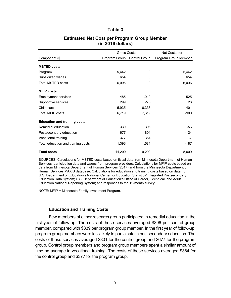#### **Table 3**

|                                     | <b>Gross Costs</b>          |          | Net Costs per        |  |
|-------------------------------------|-----------------------------|----------|----------------------|--|
| Component (\$)                      | Program Group Control Group |          | Program Group Member |  |
| <b>MSTED costs</b>                  |                             |          |                      |  |
| Program                             | 5,442                       | 0        | 5,442                |  |
| Subsidized wages                    | 654                         | 0        | 654                  |  |
| <b>Total MSTED costs</b>            | 6,096                       | $\Omega$ | 6,096                |  |
| <b>MFIP costs</b>                   |                             |          |                      |  |
| <b>Employment services</b>          | 485                         | 1,010    | $-525$               |  |
| Supportive services                 | 299                         | 273      | 26                   |  |
| Child care                          | 5,935                       | 6,336    | $-401$               |  |
| <b>Total MFIP costs</b>             | 6,719                       | 7,619    | $-900$               |  |
| <b>Education and training costs</b> |                             |          |                      |  |
| Remedial education                  | 339                         | 396      | -56                  |  |
| Postsecondary education             | 677                         | 801      | $-124$               |  |
| Vocational training                 | 377                         | 384      | -7                   |  |
| Total education and training costs  | 1,393                       | 1,581    | $-187$               |  |
| <b>Total costs</b>                  | 14,209                      | 9,200    | 5,009                |  |

#### **Estimated Net Cost per Program Group Member (in 2016 dollars)**

 SOURCES: Calculations for MSTED costs based on fiscal data from Minnesota Department of Human Services, participation data and wages from program providers. Calculations for MFIP costs based on data from Minnesota Department of Human Services (2017) and from the Minnesota Department of Human Services MAXIS database. Calculations for education and training costs based on data from U.S. Department of Education's National Center for Education Statistics' Integrated Postsecondary Education Data System; U.S. Department of Education's Office of Career, Technical, and Adult Education National Reporting System; and responses to the 12-month survey.

NOTE: MFIP = Minnesota Family Investment Program.

#### **Education and Training Costs**

 Few members of either research group participated in remedial education in the program group members were less likely to participate in postsecondary education. The group. Control group members and program group members spent a similar amount of first year of follow-up. The costs of these services averaged \$396 per control group member, compared with \$339 per program group member. In the first year of follow-up, costs of these services averaged \$801 for the control group and \$677 for the program time on average in vocational training. The costs of these services averaged \$384 for the control group and \$377 for the program group.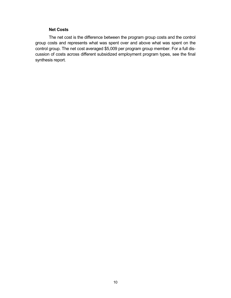#### **Net Costs**

 group costs and represents what was spent over and above what was spent on the control group. The net cost averaged \$5,009 per program group member. For a full dis- cussion of costs across different subsidized employment program types, see the final The net cost is the difference between the program group costs and the control synthesis report.